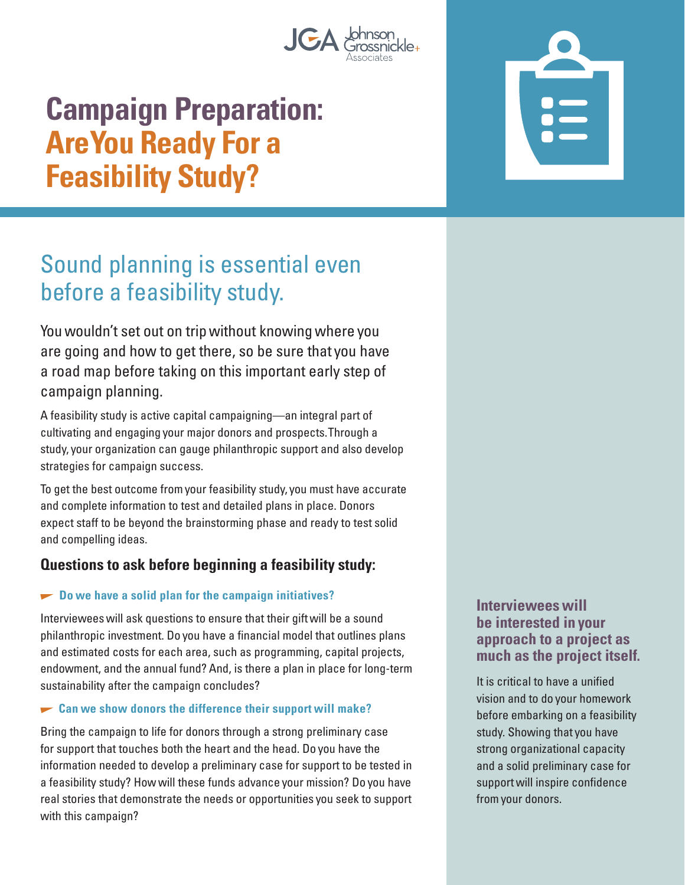

# **Campaign Preparation: Are You Ready For a Feasibility Study?**

## Sound planning is essential even before a feasibility study.

You wouldn't set out on trip without knowing where you are going and how to get there, so be sure that you have a road map before taking on this important early step of campaign planning.

A feasibility study is active capital campaigning—an integral part of cultivating and engaging your major donors and prospects. Through a study, your organization can gauge philanthropic support and also develop strategies for campaign success.

To get the best outcome from your feasibility study, you must have accurate and complete information to test and detailed plans in place. Donors expect staff to be beyond the brainstorming phase and ready to test solid and compelling ideas.

#### **Questions to ask before beginning a feasibility study:**

#### **EXECUTE:** Do we have a solid plan for the campaign initiatives?

Interviewees will ask questions to ensure that their gift will be a sound philanthropic investment. Do you have a financial model that outlines plans and estimated costs for each area, such as programming, capital projects, endowment, and the annual fund? And, is there a plan in place for long-term sustainability after the campaign concludes?

#### **Can we show donors the difference their support will make?**

Bring the campaign to life for donors through a strong preliminary case for support that touches both the heart and the head. Do you have the information needed to develop a preliminary case for support to be tested in a feasibility study? How will these funds advance your mission? Do you have real stories that demonstrate the needs or opportunities you seek to support with this campaign?

**Interviewees will be interested in your approach to a project as much as the project itself.** 

It is critical to have a unified vision and to do your homework before embarking on a feasibility study. Showing that you have strong organizational capacity and a solid preliminary case for support will inspire confidence from your donors.